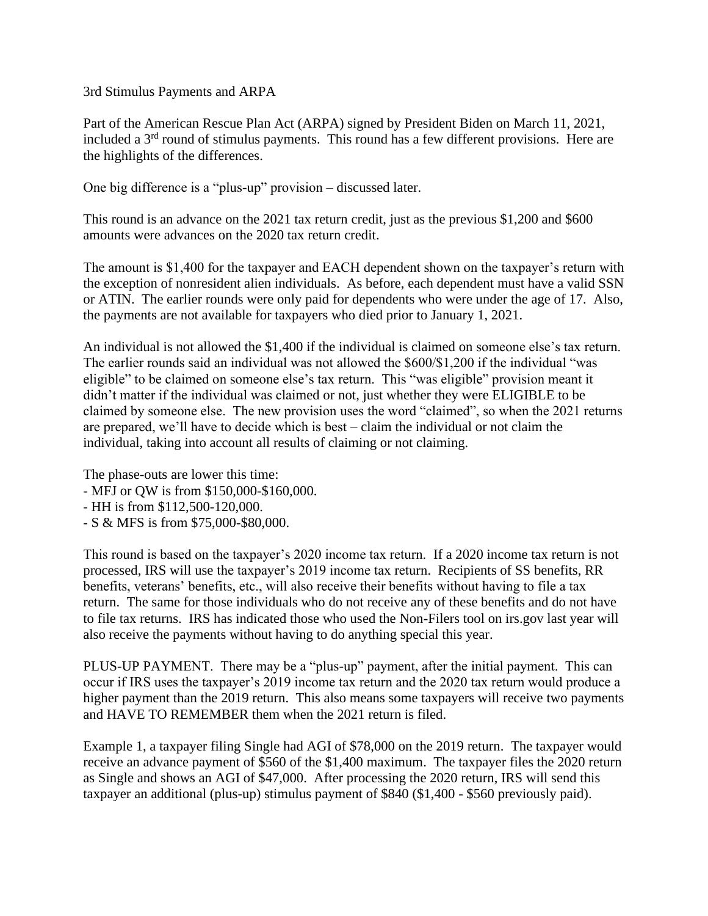3rd Stimulus Payments and ARPA

Part of the American Rescue Plan Act (ARPA) signed by President Biden on March 11, 2021, included a  $3<sup>rd</sup>$  round of stimulus payments. This round has a few different provisions. Here are the highlights of the differences.

One big difference is a "plus-up" provision – discussed later.

This round is an advance on the 2021 tax return credit, just as the previous \$1,200 and \$600 amounts were advances on the 2020 tax return credit.

The amount is \$1,400 for the taxpayer and EACH dependent shown on the taxpayer's return with the exception of nonresident alien individuals. As before, each dependent must have a valid SSN or ATIN. The earlier rounds were only paid for dependents who were under the age of 17. Also, the payments are not available for taxpayers who died prior to January 1, 2021.

An individual is not allowed the \$1,400 if the individual is claimed on someone else's tax return. The earlier rounds said an individual was not allowed the \$600/\$1,200 if the individual "was eligible" to be claimed on someone else's tax return. This "was eligible" provision meant it didn't matter if the individual was claimed or not, just whether they were ELIGIBLE to be claimed by someone else. The new provision uses the word "claimed", so when the 2021 returns are prepared, we'll have to decide which is best – claim the individual or not claim the individual, taking into account all results of claiming or not claiming.

The phase-outs are lower this time:

- MFJ or QW is from \$150,000-\$160,000.
- HH is from \$112,500-120,000.
- S & MFS is from \$75,000-\$80,000.

This round is based on the taxpayer's 2020 income tax return. If a 2020 income tax return is not processed, IRS will use the taxpayer's 2019 income tax return. Recipients of SS benefits, RR benefits, veterans' benefits, etc., will also receive their benefits without having to file a tax return. The same for those individuals who do not receive any of these benefits and do not have to file tax returns. IRS has indicated those who used the Non-Filers tool on irs.gov last year will also receive the payments without having to do anything special this year.

PLUS-UP PAYMENT. There may be a "plus-up" payment, after the initial payment. This can occur if IRS uses the taxpayer's 2019 income tax return and the 2020 tax return would produce a higher payment than the 2019 return. This also means some taxpayers will receive two payments and HAVE TO REMEMBER them when the 2021 return is filed.

Example 1, a taxpayer filing Single had AGI of \$78,000 on the 2019 return. The taxpayer would receive an advance payment of \$560 of the \$1,400 maximum. The taxpayer files the 2020 return as Single and shows an AGI of \$47,000. After processing the 2020 return, IRS will send this taxpayer an additional (plus-up) stimulus payment of \$840 (\$1,400 - \$560 previously paid).